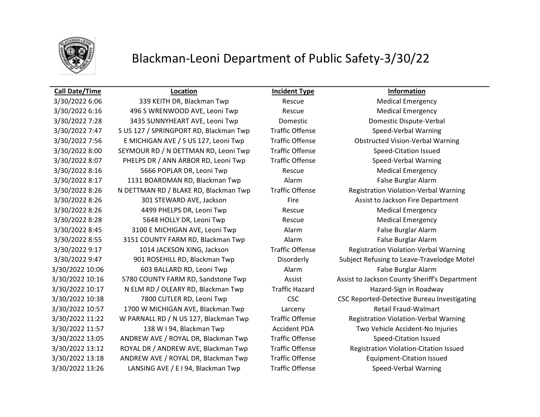

## Blackman-Leoni Department of Public Safety-3/30/22

### **Call Date/Time Location Incident Type Information**

3/30/2022 6:06 339 KEITH DR, Blackman Twp Rescue Medical Emergency 3/30/2022 6:16 496 S WRENWOOD AVE, Leoni Twp Rescue Medical Emergency 3/30/2022 7:28 3435 SUNNYHEART AVE, Leoni Twp Domestic Domestic Dispute-Verbal 3/30/2022 7:47 S US 127 / SPRINGPORT RD, Blackman Twp Traffic Offense Speed-Verbal Warning 3/30/2022 7:56 E MICHIGAN AVE / S US 127, Leoni Twp Traffic Offense Obstructed Vision-Verbal Warning 3/30/2022 8:00 SEYMOUR RD / N DETTMAN RD, Leoni Twp Traffic Offense Speed-Citation Issued 3/30/2022 8:07 PHELPS DR / ANN ARBOR RD, Leoni Twp Traffic Offense Speed-Verbal Warning 3/30/2022 8:16 5666 POPLAR DR, Leoni Twp Rescue Rescue Medical Emergency 3/30/2022 8:17 1131 BOARDMAN RD, Blackman Twp Alarm Alarm False Burglar Alarm 3/30/2022 8:26 N DETTMAN RD / BLAKE RD, Blackman Twp Traffic Offense Registration Violation-Verbal Warning 3/30/2022 8:26 301 STEWARD AVE, Jackson Fire Assist to Jackson Fire Department 3/30/2022 8:26 4499 PHELPS DR, Leoni Twp Rescue Medical Emergency 3/30/2022 8:28 5648 HOLLY DR, Leoni Twp Rescue Rescue Medical Emergency 3/30/2022 8:45 3100 E MICHIGAN AVE, Leoni Twp Alarm False Burglar Alarm 3/30/2022 8:55 3151 COUNTY FARM RD, Blackman Twp Alarm Alarm False Burglar Alarm 3/30/2022 9:17 1014 JACKSON XING, Jackson Traffic Offense Registration Violation-Verbal Warning 3/30/2022 10:06 603 BALLARD RD, Leoni Twp Alarm Alarm False Burglar Alarm 3/30/2022 10:17 N ELM RD / OLEARY RD, Blackman Twp Traffic Hazard Hazard-Sign in Roadway 3/30/2022 10:57 1700 W MICHIGAN AVE, Blackman Twp Larceny Retail Fraud-Walmart 3/30/2022 11:22 W PARNALL RD / N US 127, Blackman Twp Traffic Offense Registration Violation-Verbal Warning 3/30/2022 11:57 138 W I 94, Blackman Twp Accident PDA Two Vehicle Accident-No Injuries 3/30/2022 13:05 ANDREW AVE / ROYAL DR, Blackman Twp Traffic Offense Speed-Citation Issued 3/30/2022 13:12 ROYAL DR / ANDREW AVE, Blackman Twp Traffic Offense Registration Violation-Citation Issued 3/30/2022 13:18 ANDREW AVE / ROYAL DR, Blackman Twp Traffic Offense Equipment-Citation Issued 3/30/2022 13:26 LANSING AVE / E I 94, Blackman Twp Traffic Offense Speed-Verbal Warning

3/30/2022 9:47 901 ROSEHILL RD, Blackman Twp Disorderly Subject Refusing to Leave-Travelodge Motel 3/30/2022 10:16 5780 COUNTY FARM RD, Sandstone Twp Assist Assist Assist to Jackson County Sheriff's Department 3/30/2022 10:38 7800 CUTLER RD, Leoni Twp CSC CSC Reported-Detective Bureau Investigating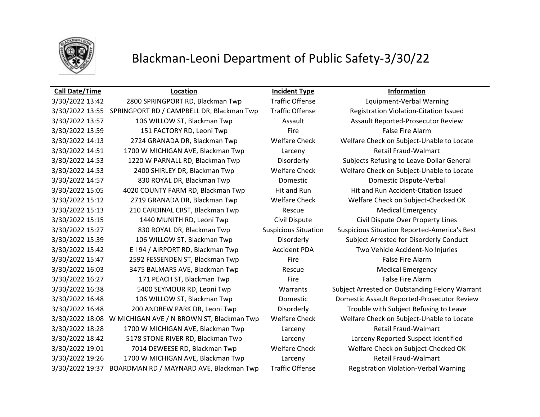

# Blackman-Leoni Department of Public Safety-3/30/22

### **Call Date/Time Location Incident Type Information**

| 3/30/2022 13:42 | 2800 SPRINGPORT RD, Blackman Twp          | <b>Traffic Offense</b>      | <b>Equipment-Verbal Warning</b>                |
|-----------------|-------------------------------------------|-----------------------------|------------------------------------------------|
| 3/30/2022 13:55 | SPRINGPORT RD / CAMPBELL DR, Blackman Twp | <b>Traffic Offense</b>      | Registration Violation-Citation Issued         |
| 3/30/2022 13:57 | 106 WILLOW ST, Blackman Twp               | Assault                     | Assault Reported-Prosecutor Review             |
| 3/30/2022 13:59 | 151 FACTORY RD, Leoni Twp                 | Fire                        | <b>False Fire Alarm</b>                        |
| 3/30/2022 14:13 | 2724 GRANADA DR, Blackman Twp             | <b>Welfare Check</b>        | Welfare Check on Subject-Unable to Locate      |
| 3/30/2022 14:51 | 1700 W MICHIGAN AVE, Blackman Twp         | Larceny                     | <b>Retail Fraud-Walmart</b>                    |
| 3/30/2022 14:53 | 1220 W PARNALL RD, Blackman Twp           | Disorderly                  | Subjects Refusing to Leave-Dollar General      |
| 3/30/2022 14:53 | 2400 SHIRLEY DR, Blackman Twp             | <b>Welfare Check</b>        | Welfare Check on Subject-Unable to Locate      |
| 3/30/2022 14:57 | 830 ROYAL DR, Blackman Twp                | Domestic                    | Domestic Dispute-Verbal                        |
| 3/30/2022 15:05 | 4020 COUNTY FARM RD, Blackman Twp         | Hit and Run                 | Hit and Run Accident-Citation Issued           |
| 3/30/2022 15:12 | 2719 GRANADA DR, Blackman Twp             | <b>Welfare Check</b>        | Welfare Check on Subject-Checked OK            |
| 3/30/2022 15:13 | 210 CARDINAL CRST, Blackman Twp           | Rescue                      | <b>Medical Emergency</b>                       |
| 3/30/2022 15:15 | 1440 MUNITH RD, Leoni Twp                 | Civil Dispute               | Civil Dispute Over Property Lines              |
| 3/30/2022 15:27 | 830 ROYAL DR, Blackman Twp                | <b>Suspicious Situation</b> | Suspicious Situation Reported-America's Best   |
| 3/30/2022 15:39 | 106 WILLOW ST, Blackman Twp               | Disorderly                  | Subject Arrested for Disorderly Conduct        |
| 3/30/2022 15:42 | E I 94 / AIRPORT RD, Blackman Twp         | <b>Accident PDA</b>         | Two Vehicle Accident-No Injuries               |
| 3/30/2022 15:47 | 2592 FESSENDEN ST, Blackman Twp           | Fire                        | <b>False Fire Alarm</b>                        |
| 3/30/2022 16:03 | 3475 BALMARS AVE, Blackman Twp            | Rescue                      | <b>Medical Emergency</b>                       |
| 3/30/2022 16:27 | 171 PEACH ST, Blackman Twp                | Fire                        | <b>False Fire Alarm</b>                        |
| 3/30/2022 16:38 | 5400 SEYMOUR RD, Leoni Twp                | Warrants                    | Subject Arrested on Outstanding Felony Warrant |
| 3/30/2022 16:48 | 106 WILLOW ST, Blackman Twp               | Domestic                    | Domestic Assault Reported-Prosecutor Review    |
| 3/30/2022 16:48 | 200 ANDREW PARK DR, Leoni Twp             | Disorderly                  | Trouble with Subject Refusing to Leave         |
| 3/30/2022 18:08 | W MICHIGAN AVE / N BROWN ST, Blackman Twp | <b>Welfare Check</b>        | Welfare Check on Subject-Unable to Locate      |
| 3/30/2022 18:28 | 1700 W MICHIGAN AVE, Blackman Twp         | Larceny                     | <b>Retail Fraud-Walmart</b>                    |
| 3/30/2022 18:42 | 5178 STONE RIVER RD, Blackman Twp         | Larceny                     | Larceny Reported-Suspect Identified            |
| 3/30/2022 19:01 | 7014 DEWEESE RD, Blackman Twp             | <b>Welfare Check</b>        | Welfare Check on Subject-Checked OK            |
| 3/30/2022 19:26 | 1700 W MICHIGAN AVE, Blackman Twp         | Larceny                     | <b>Retail Fraud-Walmart</b>                    |
| 3/30/2022 19:37 | BOARDMAN RD / MAYNARD AVE, Blackman Twp   | <b>Traffic Offense</b>      | <b>Registration Violation-Verbal Warning</b>   |